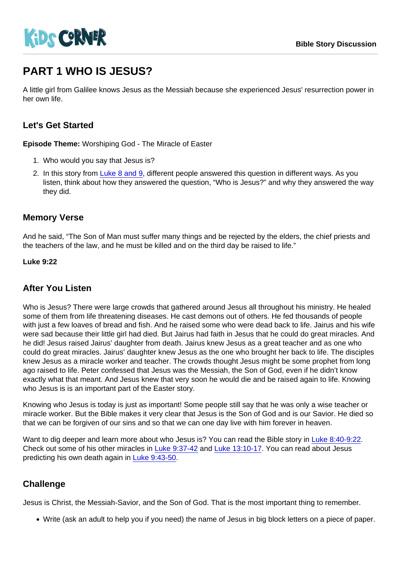# PART 1 WHO IS JESUS?

A little girl from Galilee knows Jesus as the Messiah because she experienced Jesus' resurrection power in her own life.

# Let's Get Started

Episode Theme: Worshiping God - The Miracle of Easter

- 1. Who would you say that Jesus is?
- 2. In this story from [Luke 8 and 9,](https://www.biblegateway.com/passage/?search=Luke+8:40-9:22&version=NIV) different people answered this question in different ways. As you listen, think about how they answered the question, "Who is Jesus?" and why they answered the way they did.

### Memory Verse

And he said, "The Son of Man must suffer many things and be rejected by the elders, the chief priests and the teachers of the law, and he must be killed and on the third day be raised to life."

Luke 9:22

## After You Listen

Who is Jesus? There were large crowds that gathered around Jesus all throughout his ministry. He healed some of them from life threatening diseases. He cast demons out of others. He fed thousands of people with just a few loaves of bread and fish. And he raised some who were dead back to life. Jairus and his wife were sad because their little girl had died. But Jairus had faith in Jesus that he could do great miracles. And he did! Jesus raised Jairus' daughter from death. Jairus knew Jesus as a great teacher and as one who could do great miracles. Jairus' daughter knew Jesus as the one who brought her back to life. The disciples knew Jesus as a miracle worker and teacher. The crowds thought Jesus might be some prophet from long ago raised to life. Peter confessed that Jesus was the Messiah, the Son of God, even if he didn't know exactly what that meant. And Jesus knew that very soon he would die and be raised again to life. Knowing who Jesus is is an important part of the Easter story.

Knowing who Jesus is today is just as important! Some people still say that he was only a wise teacher or miracle worker. But the Bible makes it very clear that Jesus is the Son of God and is our Savior. He died so that we can be forgiven of our sins and so that we can one day live with him forever in heaven.

Want to dig deeper and learn more about who Jesus is? You can read the Bible story in [Luke 8:40-9:22](https://www.biblegateway.com/passage/?search=Luke+8:40-9:22&version=NIV). Check out some of his other miracles in [Luke 9:37-42](https://www.biblegateway.com/passage/?search=Luke+9:37-42&version=NIV) and [Luke 13:10-17.](https://www.biblegateway.com/passage/?search=Luke+13:10-17&version=NIV) You can read about Jesus predicting his own death again in [Luke 9:43-50](https://www.biblegateway.com/passage/?search=Luke+9:43-50&version=NIV).

## **Challenge**

Jesus is Christ, the Messiah-Savior, and the Son of God. That is the most important thing to remember.

Write (ask an adult to help you if you need) the name of Jesus in big block letters on a piece of paper.